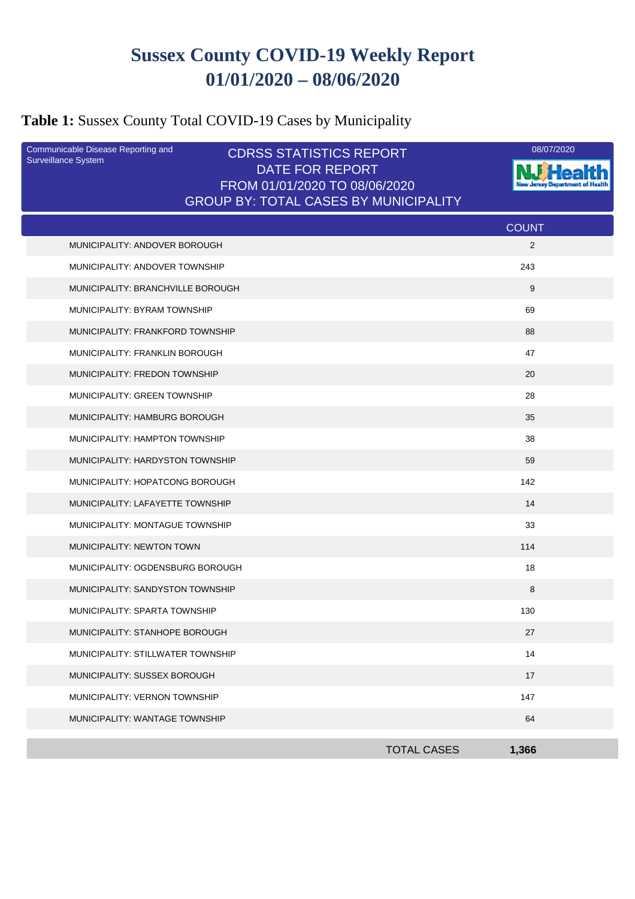# **Sussex County COVID-19 Weekly Report 01/01/2020 – 08/06/2020**

## **Table 1:** Sussex County Total COVID-19 Cases by Municipality

| Communicable Disease Reporting and<br><b>Surveillance System</b> | <b>CDRSS STATISTICS REPORT</b>                   | 08/07/2020   |
|------------------------------------------------------------------|--------------------------------------------------|--------------|
|                                                                  | DATE FOR REPORT<br>FROM 01/01/2020 TO 08/06/2020 |              |
|                                                                  | <b>GROUP BY: TOTAL CASES BY MUNICIPALITY</b>     |              |
|                                                                  |                                                  | <b>COUNT</b> |
| MUNICIPALITY: ANDOVER BOROUGH                                    |                                                  | 2            |
| MUNICIPALITY: ANDOVER TOWNSHIP                                   |                                                  | 243          |
| MUNICIPALITY: BRANCHVILLE BOROUGH                                |                                                  | 9            |
| MUNICIPALITY: BYRAM TOWNSHIP                                     |                                                  | 69           |
| MUNICIPALITY: FRANKFORD TOWNSHIP                                 |                                                  | 88           |
| MUNICIPALITY: FRANKLIN BOROUGH                                   |                                                  | 47           |
| MUNICIPALITY: FREDON TOWNSHIP                                    |                                                  | 20           |
| MUNICIPALITY: GREEN TOWNSHIP                                     |                                                  | 28           |
| MUNICIPALITY: HAMBURG BOROUGH                                    |                                                  | 35           |
| MUNICIPALITY: HAMPTON TOWNSHIP                                   |                                                  | 38           |
| MUNICIPALITY: HARDYSTON TOWNSHIP                                 |                                                  | 59           |
| MUNICIPALITY: HOPATCONG BOROUGH                                  |                                                  | 142          |
| MUNICIPALITY: LAFAYETTE TOWNSHIP                                 |                                                  | 14           |
| MUNICIPALITY: MONTAGUE TOWNSHIP                                  |                                                  | 33           |
| MUNICIPALITY: NEWTON TOWN                                        |                                                  | 114          |
| MUNICIPALITY: OGDENSBURG BOROUGH                                 |                                                  | 18           |
| MUNICIPALITY: SANDYSTON TOWNSHIP                                 |                                                  | 8            |
| MUNICIPALITY: SPARTA TOWNSHIP                                    |                                                  | 130          |
| MUNICIPALITY: STANHOPE BOROUGH                                   |                                                  | 27           |
| MUNICIPALITY: STILLWATER TOWNSHIP                                |                                                  | 14           |
| MUNICIPALITY: SUSSEX BOROUGH                                     |                                                  | 17           |
| MUNICIPALITY: VERNON TOWNSHIP                                    |                                                  | 147          |
| MUNICIPALITY: WANTAGE TOWNSHIP                                   |                                                  | 64           |
|                                                                  | <b>TOTAL CASES</b>                               | 1,366        |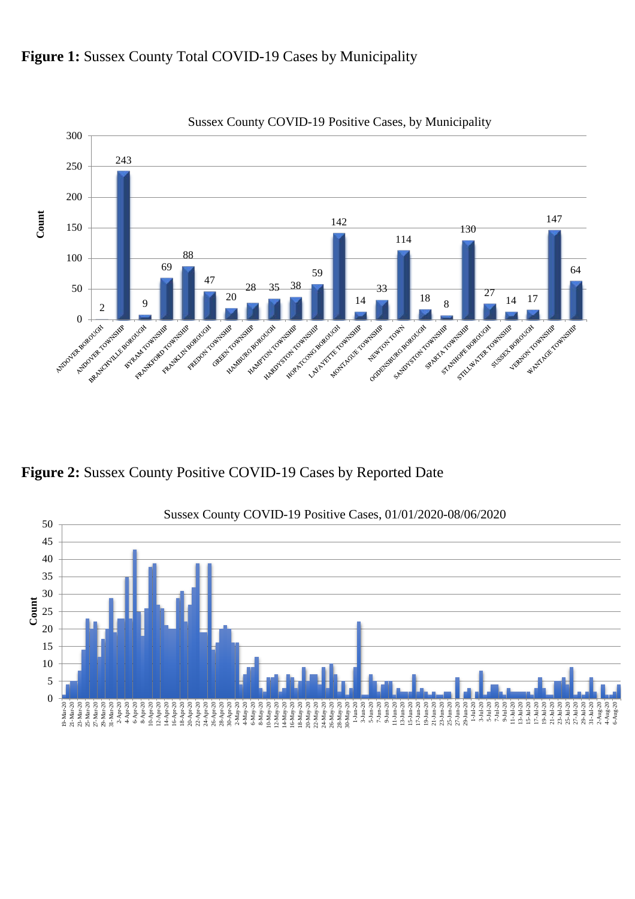



Sussex County COVID-19 Positive Cases, by Municipality

**Figure 2:** Sussex County Positive COVID-19 Cases by Reported Date

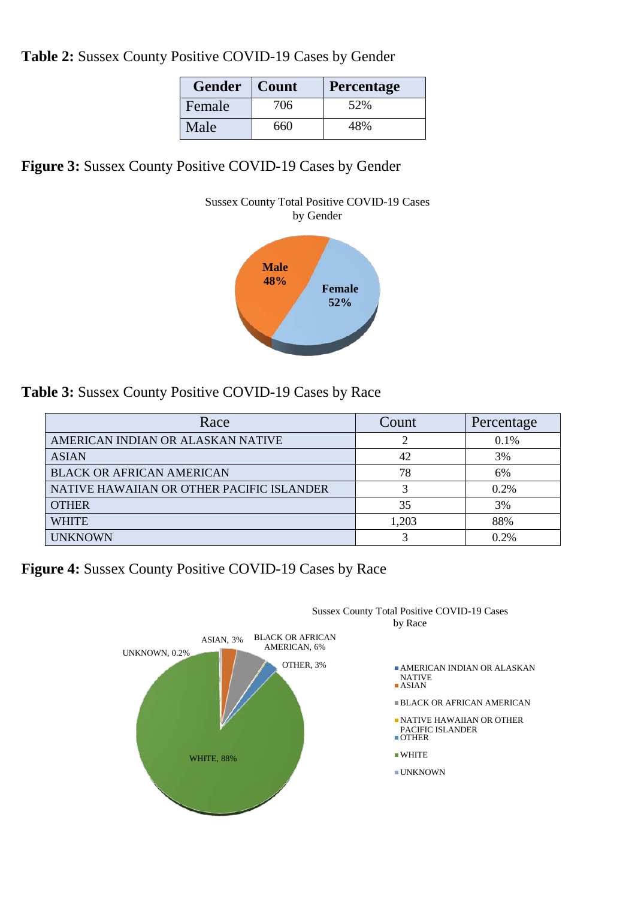**Table 2:** Sussex County Positive COVID-19 Cases by Gender

| <b>Gender</b> | Count | <b>Percentage</b> |
|---------------|-------|-------------------|
| Female        | 706   | 52%               |
| Male          | 660   | 48%               |

**Figure 3:** Sussex County Positive COVID-19 Cases by Gender



**Table 3:** Sussex County Positive COVID-19 Cases by Race

| Race                                      | Count | Percentage |
|-------------------------------------------|-------|------------|
| AMERICAN INDIAN OR ALASKAN NATIVE         |       | 0.1%       |
| <b>ASIAN</b>                              | 42    | 3%         |
| <b>BLACK OR AFRICAN AMERICAN</b>          | 78    | 6%         |
| NATIVE HAWAIIAN OR OTHER PACIFIC ISLANDER | 3     | 0.2%       |
| <b>OTHER</b>                              | 35    | 3%         |
| <b>WHITE</b>                              | 1,203 | 88%        |
| <b>UNKNOWN</b>                            |       | 0.2%       |

**Figure 4:** Sussex County Positive COVID-19 Cases by Race

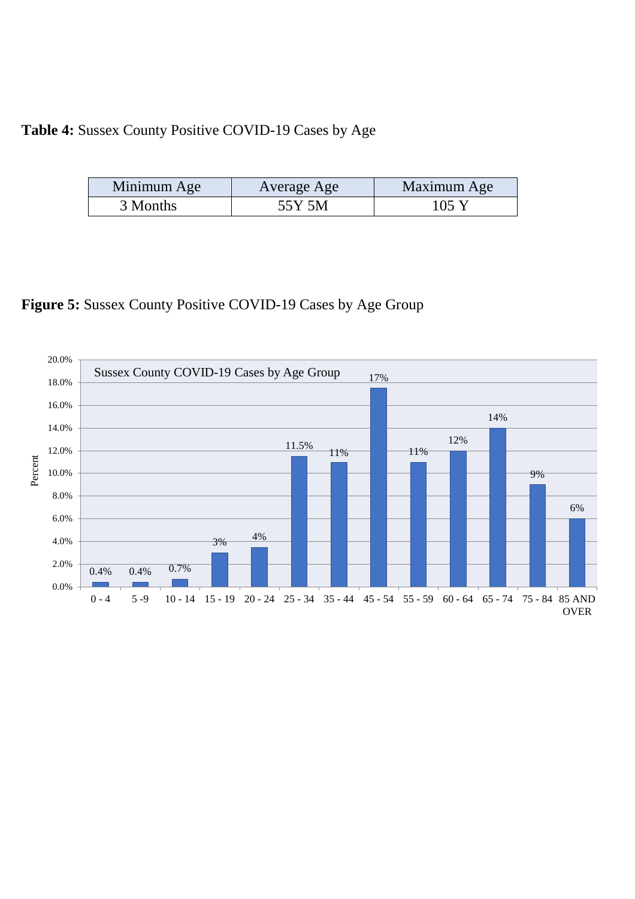### **Table 4:** Sussex County Positive COVID-19 Cases by Age

| Minimum Age<br>Average Age |        | Maximum Age     |  |
|----------------------------|--------|-----------------|--|
| 3 Months                   | 55Y 5M | $105 \text{ Y}$ |  |

### **Figure 5:** Sussex County Positive COVID-19 Cases by Age Group

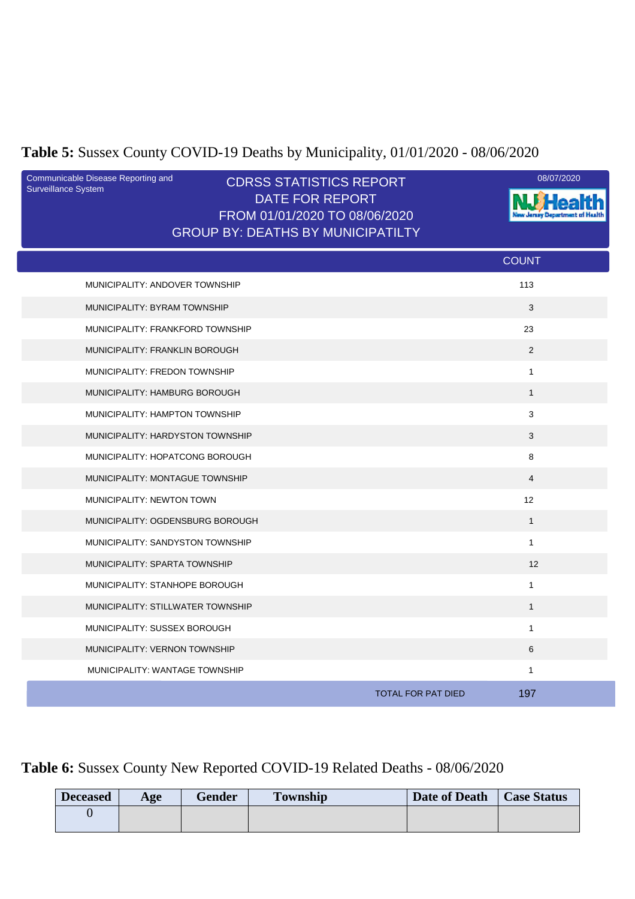## **Table 5:** Sussex County COVID-19 Deaths by Municipality, 01/01/2020 - 08/06/2020

| Communicable Disease Reporting and<br>Surveillance System | <b>CDRSS STATISTICS REPORT</b><br><b>DATE FOR REPORT</b><br>FROM 01/01/2020 TO 08/06/2020<br><b>GROUP BY: DEATHS BY MUNICIPATILTY</b> | 08/07/2020                       |
|-----------------------------------------------------------|---------------------------------------------------------------------------------------------------------------------------------------|----------------------------------|
|                                                           |                                                                                                                                       | <b>COUNT</b>                     |
| MUNICIPALITY: ANDOVER TOWNSHIP                            |                                                                                                                                       | 113                              |
| MUNICIPALITY: BYRAM TOWNSHIP                              |                                                                                                                                       | 3                                |
| MUNICIPALITY: FRANKFORD TOWNSHIP                          |                                                                                                                                       | 23                               |
| MUNICIPALITY: FRANKLIN BOROUGH                            |                                                                                                                                       | 2                                |
| MUNICIPALITY: FREDON TOWNSHIP                             |                                                                                                                                       | $\mathbf{1}$                     |
| MUNICIPALITY: HAMBURG BOROUGH                             |                                                                                                                                       | $\mathbf{1}$                     |
| MUNICIPALITY: HAMPTON TOWNSHIP                            |                                                                                                                                       | 3                                |
| MUNICIPALITY: HARDYSTON TOWNSHIP                          |                                                                                                                                       | 3                                |
| MUNICIPALITY: HOPATCONG BOROUGH                           |                                                                                                                                       | 8                                |
| MUNICIPALITY: MONTAGUE TOWNSHIP                           |                                                                                                                                       | $\overline{4}$                   |
| MUNICIPALITY: NEWTON TOWN                                 |                                                                                                                                       | 12                               |
| MUNICIPALITY: OGDENSBURG BOROUGH                          |                                                                                                                                       | $\mathbf{1}$                     |
| MUNICIPALITY: SANDYSTON TOWNSHIP                          |                                                                                                                                       | $\mathbf{1}$                     |
| MUNICIPALITY: SPARTA TOWNSHIP                             |                                                                                                                                       | 12                               |
| MUNICIPALITY: STANHOPE BOROUGH                            |                                                                                                                                       | $\mathbf{1}$                     |
| MUNICIPALITY: STILLWATER TOWNSHIP                         |                                                                                                                                       | $\mathbf{1}$                     |
| MUNICIPALITY: SUSSEX BOROUGH                              |                                                                                                                                       | $\mathbf{1}$                     |
| MUNICIPALITY: VERNON TOWNSHIP                             |                                                                                                                                       | 6                                |
| MUNICIPALITY: WANTAGE TOWNSHIP                            |                                                                                                                                       | $\mathbf{1}$                     |
|                                                           |                                                                                                                                       | 197<br><b>TOTAL FOR PAT DIED</b> |

## **Table 6:** Sussex County New Reported COVID-19 Related Deaths - 08/06/2020

| <b>Deceased</b> | Age | <b>Gender</b> | <b>Township</b> | Date of Death | <b>Case Status</b> |
|-----------------|-----|---------------|-----------------|---------------|--------------------|
|                 |     |               |                 |               |                    |
|                 |     |               |                 |               |                    |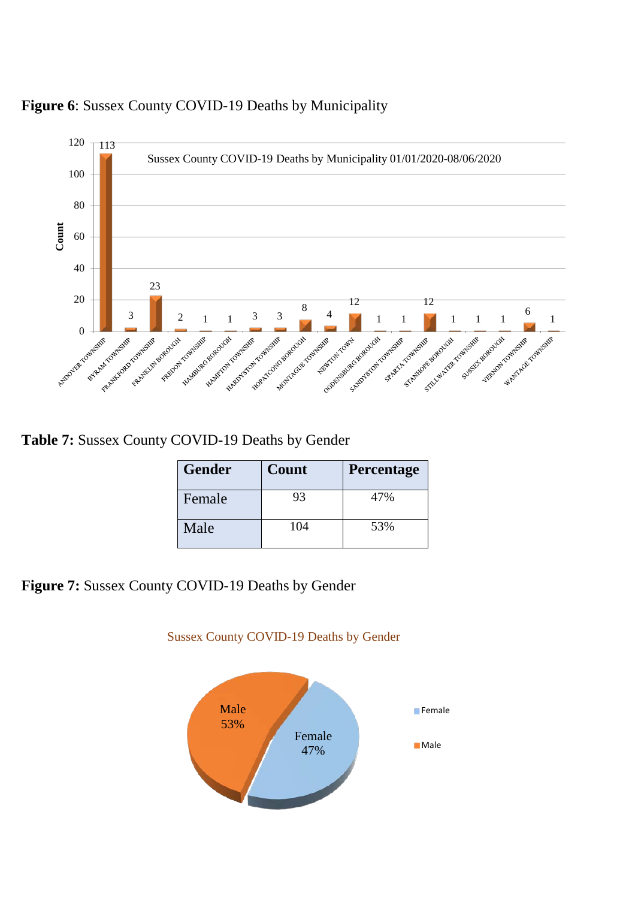



**Table 7:** Sussex County COVID-19 Deaths by Gender

| <b>Gender</b> | Count | <b>Percentage</b> |
|---------------|-------|-------------------|
| Female        | 93    | 47%               |
| Male          | 104   | 53%               |

**Figure 7:** Sussex County COVID-19 Deaths by Gender



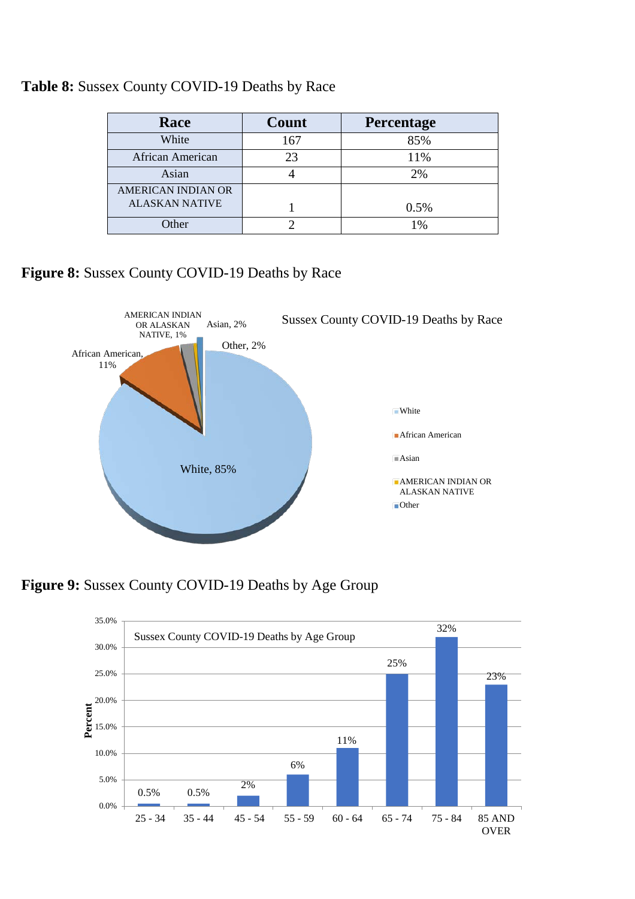| Race                      | Count | Percentage |
|---------------------------|-------|------------|
| White                     | 167   | 85%        |
| African American          | 23    | 11%        |
| Asian                     |       | 2%         |
| <b>AMERICAN INDIAN OR</b> |       |            |
| <b>ALASKAN NATIVE</b>     |       | 0.5%       |
| Other                     |       | 1%         |

#### **Table 8:** Sussex County COVID-19 Deaths by Race

**Figure 8:** Sussex County COVID-19 Deaths by Race